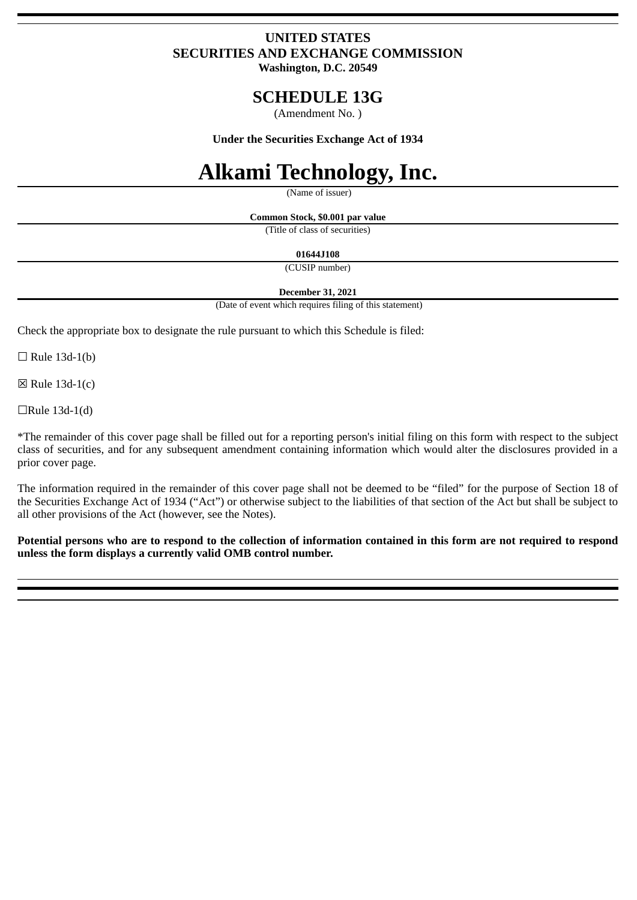# **UNITED STATES SECURITIES AND EXCHANGE COMMISSION**

**Washington, D.C. 20549**

# **SCHEDULE 13G**

(Amendment No. )

**Under the Securities Exchange Act of 1934**

# **Alkami Technology, Inc.**

(Name of issuer)

**Common Stock, \$0.001 par value**

(Title of class of securities)

**01644J108**

(CUSIP number)

**December 31, 2021**

(Date of event which requires filing of this statement)

Check the appropriate box to designate the rule pursuant to which this Schedule is filed:

 $\Box$  Rule 13d-1(b)

 $\boxtimes$  Rule 13d-1(c)

 $\Box$ Rule 13d-1(d)

\*The remainder of this cover page shall be filled out for a reporting person's initial filing on this form with respect to the subject class of securities, and for any subsequent amendment containing information which would alter the disclosures provided in a prior cover page.

The information required in the remainder of this cover page shall not be deemed to be "filed" for the purpose of Section 18 of the Securities Exchange Act of 1934 ("Act") or otherwise subject to the liabilities of that section of the Act but shall be subject to all other provisions of the Act (however, see the Notes).

**Potential persons who are to respond to the collection of information contained in this form are not required to respond unless the form displays a currently valid OMB control number.**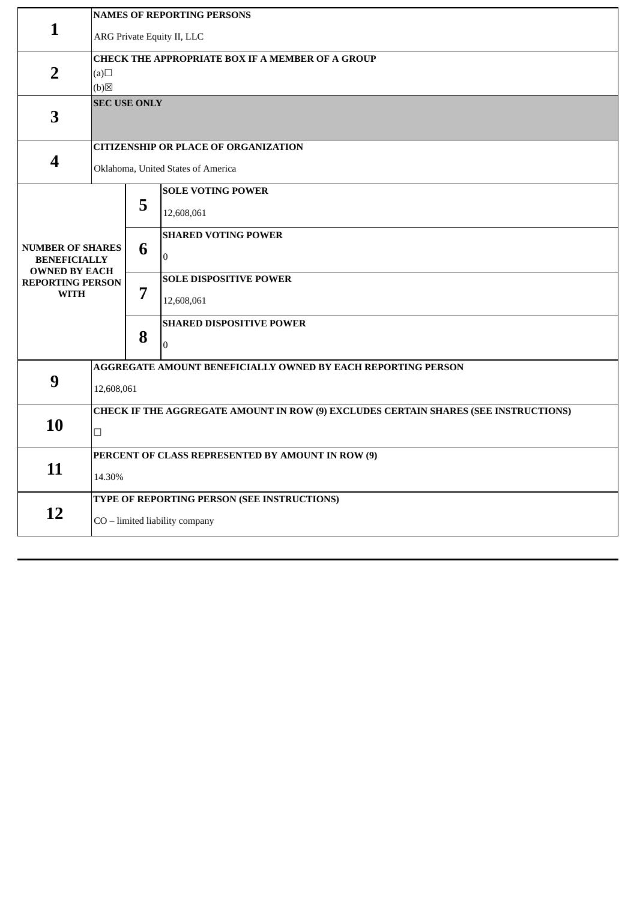| $\mathbf{1}$                                                           | <b>NAMES OF REPORTING PERSONS</b>                                                             |   |                                              |  |  |
|------------------------------------------------------------------------|-----------------------------------------------------------------------------------------------|---|----------------------------------------------|--|--|
|                                                                        | ARG Private Equity II, LLC                                                                    |   |                                              |  |  |
| $\overline{2}$                                                         | CHECK THE APPROPRIATE BOX IF A MEMBER OF A GROUP<br>(a)<br>$(b)$ $\boxtimes$                  |   |                                              |  |  |
| 3                                                                      | <b>SEC USE ONLY</b>                                                                           |   |                                              |  |  |
| 4                                                                      | <b>CITIZENSHIP OR PLACE OF ORGANIZATION</b><br>Oklahoma, United States of America             |   |                                              |  |  |
|                                                                        |                                                                                               | 5 | <b>SOLE VOTING POWER</b><br>12,608,061       |  |  |
| <b>NUMBER OF SHARES</b><br><b>BENEFICIALLY</b><br><b>OWNED BY EACH</b> |                                                                                               | 6 | <b>SHARED VOTING POWER</b><br>$\overline{0}$ |  |  |
| <b>REPORTING PERSON</b><br><b>WITH</b>                                 |                                                                                               | 7 | <b>SOLE DISPOSITIVE POWER</b><br>12,608,061  |  |  |
|                                                                        |                                                                                               | 8 | <b>SHARED DISPOSITIVE POWER</b><br>$\Omega$  |  |  |
| 9                                                                      | AGGREGATE AMOUNT BENEFICIALLY OWNED BY EACH REPORTING PERSON                                  |   |                                              |  |  |
|                                                                        | 12,608,061                                                                                    |   |                                              |  |  |
| 10                                                                     | CHECK IF THE AGGREGATE AMOUNT IN ROW (9) EXCLUDES CERTAIN SHARES (SEE INSTRUCTIONS)<br>$\Box$ |   |                                              |  |  |
| 11                                                                     | PERCENT OF CLASS REPRESENTED BY AMOUNT IN ROW (9)                                             |   |                                              |  |  |
|                                                                        | 14.30%                                                                                        |   |                                              |  |  |
| 12                                                                     | TYPE OF REPORTING PERSON (SEE INSTRUCTIONS)                                                   |   |                                              |  |  |
|                                                                        | CO - limited liability company                                                                |   |                                              |  |  |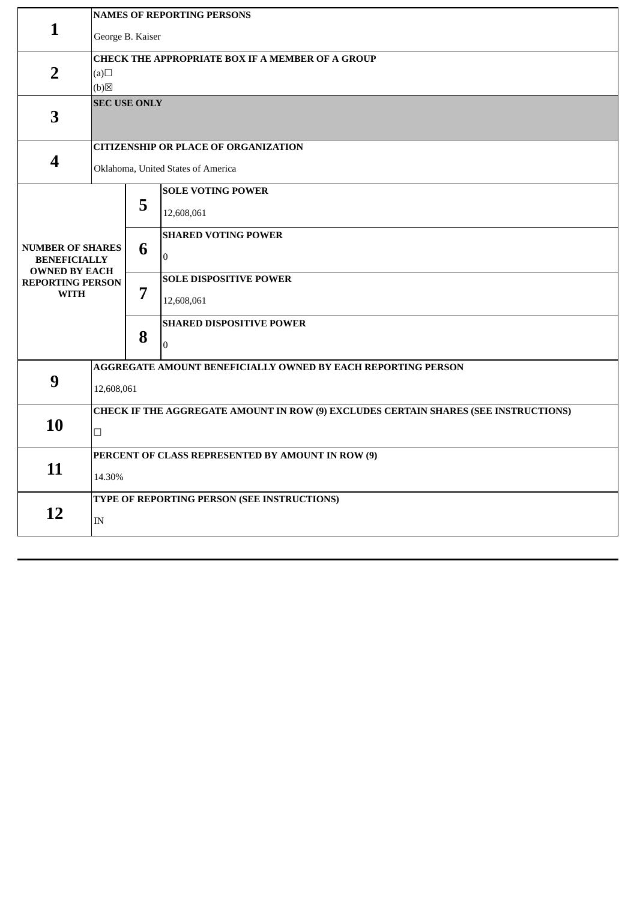| $\mathbf{1}$                                    | <b>NAMES OF REPORTING PERSONS</b>                                                   |   |                                 |  |  |
|-------------------------------------------------|-------------------------------------------------------------------------------------|---|---------------------------------|--|--|
|                                                 | George B. Kaiser                                                                    |   |                                 |  |  |
|                                                 | CHECK THE APPROPRIATE BOX IF A MEMBER OF A GROUP                                    |   |                                 |  |  |
| $\overline{2}$                                  | (a)<br>(b)                                                                          |   |                                 |  |  |
| 3                                               | <b>SEC USE ONLY</b>                                                                 |   |                                 |  |  |
| 4                                               | <b>CITIZENSHIP OR PLACE OF ORGANIZATION</b>                                         |   |                                 |  |  |
|                                                 | Oklahoma, United States of America                                                  |   |                                 |  |  |
|                                                 |                                                                                     | 5 | <b>SOLE VOTING POWER</b>        |  |  |
|                                                 |                                                                                     |   | 12,608,061                      |  |  |
|                                                 |                                                                                     |   | <b>SHARED VOTING POWER</b>      |  |  |
| <b>NUMBER OF SHARES</b><br><b>BENEFICIALLY</b>  |                                                                                     | 6 | $\overline{0}$                  |  |  |
| <b>OWNED BY EACH</b><br><b>REPORTING PERSON</b> |                                                                                     | 7 | <b>SOLE DISPOSITIVE POWER</b>   |  |  |
| <b>WITH</b>                                     |                                                                                     |   | 12,608,061                      |  |  |
|                                                 |                                                                                     |   | <b>SHARED DISPOSITIVE POWER</b> |  |  |
|                                                 |                                                                                     | 8 | $\Omega$                        |  |  |
|                                                 | AGGREGATE AMOUNT BENEFICIALLY OWNED BY EACH REPORTING PERSON                        |   |                                 |  |  |
| 9                                               | 12,608,061                                                                          |   |                                 |  |  |
| 10                                              | CHECK IF THE AGGREGATE AMOUNT IN ROW (9) EXCLUDES CERTAIN SHARES (SEE INSTRUCTIONS) |   |                                 |  |  |
|                                                 | $\Box$                                                                              |   |                                 |  |  |
| 11                                              | PERCENT OF CLASS REPRESENTED BY AMOUNT IN ROW (9)                                   |   |                                 |  |  |
|                                                 | 14.30%                                                                              |   |                                 |  |  |
| 12                                              | TYPE OF REPORTING PERSON (SEE INSTRUCTIONS)                                         |   |                                 |  |  |
|                                                 | IN                                                                                  |   |                                 |  |  |
|                                                 |                                                                                     |   |                                 |  |  |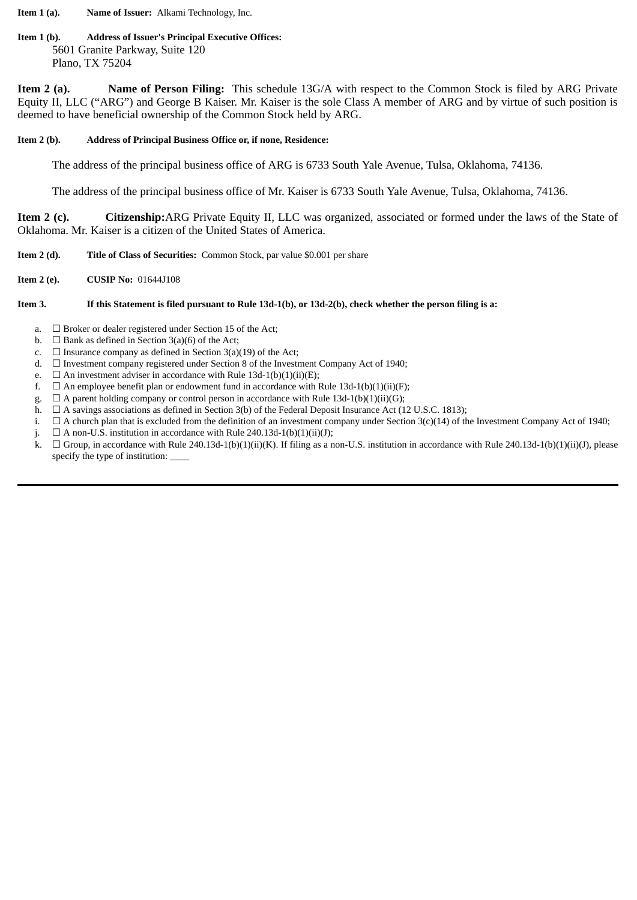**Item 1 (a). Name of Issuer:** Alkami Technology, Inc.

#### **Item 1 (b). Address of Issuer's Principal Executive Offices:** 5601 Granite Parkway, Suite 120 Plano, TX 75204

**Item 2 (a). Name of Person Filing:** This schedule 13G/A with respect to the Common Stock is filed by ARG Private Equity II, LLC ("ARG") and George B Kaiser. Mr. Kaiser is the sole Class A member of ARG and by virtue of such position is deemed to have beneficial ownership of the Common Stock held by ARG.

#### **Item 2 (b). Address of Principal Business Office or, if none, Residence:**

The address of the principal business office of ARG is 6733 South Yale Avenue, Tulsa, Oklahoma, 74136.

The address of the principal business office of Mr. Kaiser is 6733 South Yale Avenue, Tulsa, Oklahoma, 74136.

**Item 2 (c). Citizenship:**ARG Private Equity II, LLC was organized, associated or formed under the laws of the State of Oklahoma. Mr. Kaiser is a citizen of the United States of America.

- **Item 2 (d). Title of Class of Securities:** Common Stock, par value \$0.001 per share
- **Item 2 (e). CUSIP No:** 01644J108

## Item 3. If this Statement is filed pursuant to Rule 13d-1(b), or 13d-2(b), check whether the person filing is a:

- a.  $\Box$  Broker or dealer registered under Section 15 of the Act;
- b.  $\Box$  Bank as defined in Section 3(a)(6) of the Act;
- c.  $\Box$  Insurance company as defined in Section 3(a)(19) of the Act;
- d.  $\Box$  Investment company registered under Section 8 of the Investment Company Act of 1940;
- e.  $\Box$  An investment adviser in accordance with Rule 13d-1(b)(1)(ii)(E);
- f.  $\Box$  An employee benefit plan or endowment fund in accordance with Rule 13d-1(b)(1)(ii)(F);
- g.  $\Box$  A parent holding company or control person in accordance with Rule 13d-1(b)(1)(ii)(G);
- h.  $\Box$  A savings associations as defined in Section 3(b) of the Federal Deposit Insurance Act (12 U.S.C. 1813);
- i.  $\Box$  A church plan that is excluded from the definition of an investment company under Section 3(c)(14) of the Investment Company Act of 1940;
- j.  $\Box$  A non-U.S. institution in accordance with Rule 240.13d-1(b)(1)(ii)(J);
- k.  $\Box$  Group, in accordance with Rule 240.13d-1(b)(1)(ii)(K). If filing as a non-U.S. institution in accordance with Rule 240.13d-1(b)(1)(ii)(J), please specify the type of institution: \_\_\_\_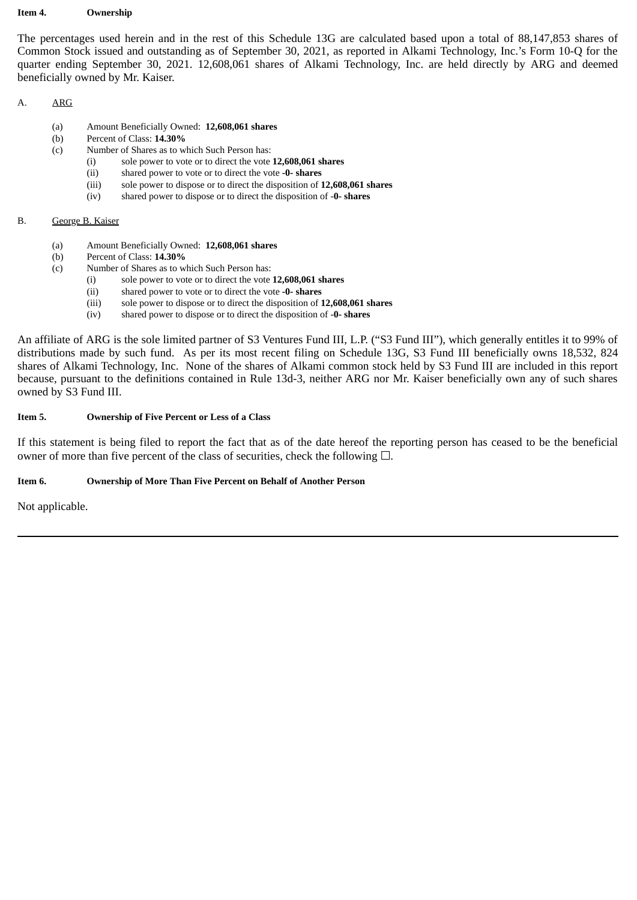#### **Item 4. Ownership**

The percentages used herein and in the rest of this Schedule 13G are calculated based upon a total of 88,147,853 shares of Common Stock issued and outstanding as of September 30, 2021, as reported in Alkami Technology, Inc.'s Form 10-Q for the quarter ending September 30, 2021. 12,608,061 shares of Alkami Technology, Inc. are held directly by ARG and deemed beneficially owned by Mr. Kaiser.

#### A. ARG

- (a) Amount Beneficially Owned: **12,608,061 shares**
- (b) Percent of Class: **14.30%**
- (c) Number of Shares as to which Such Person has:
	- (i) sole power to vote or to direct the vote **12,608,061 shares**
	- (ii) shared power to vote or to direct the vote **-0- shares**
	- (iii) sole power to dispose or to direct the disposition of **12,608,061 shares**
	- (iv) shared power to dispose or to direct the disposition of -**0- shares**

#### B. George B. Kaiser

- (a) Amount Beneficially Owned: **12,608,061 shares**
- (b) Percent of Class: **14.30%**
- (c) Number of Shares as to which Such Person has:
	- (i) sole power to vote or to direct the vote **12,608,061 shares**
	- (ii) shared power to vote or to direct the vote **-0- shares**
	- (iii) sole power to dispose or to direct the disposition of **12,608,061 shares**
	- (iv) shared power to dispose or to direct the disposition of -**0- shares**

An affiliate of ARG is the sole limited partner of S3 Ventures Fund III, L.P. ("S3 Fund III"), which generally entitles it to 99% of distributions made by such fund. As per its most recent filing on Schedule 13G, S3 Fund III beneficially owns 18,532, 824 shares of Alkami Technology, Inc. None of the shares of Alkami common stock held by S3 Fund III are included in this report because, pursuant to the definitions contained in Rule 13d-3, neither ARG nor Mr. Kaiser beneficially own any of such shares owned by S3 Fund III.

#### **Item 5. Ownership of Five Percent or Less of a Class**

If this statement is being filed to report the fact that as of the date hereof the reporting person has ceased to be the beneficial owner of more than five percent of the class of securities, check the following  $\square$ .

#### **Item 6. Ownership of More Than Five Percent on Behalf of Another Person**

Not applicable.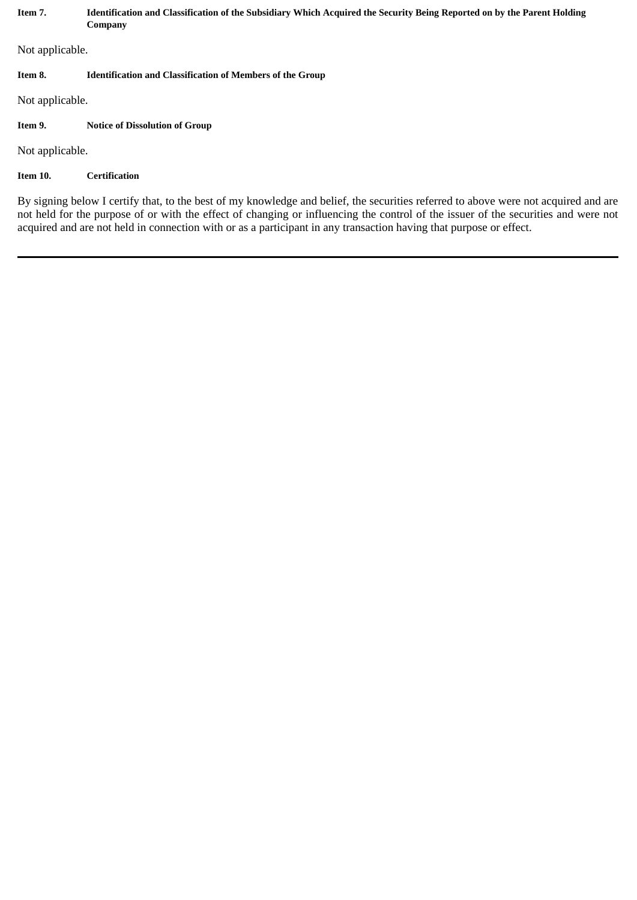| Item 7.                                                                                                                                                                                                                                                                   | Identification and Classification of the Subsidiary Which Acquired the Security Being Reported on by the Parent Holding<br>Company |  |  |  |
|---------------------------------------------------------------------------------------------------------------------------------------------------------------------------------------------------------------------------------------------------------------------------|------------------------------------------------------------------------------------------------------------------------------------|--|--|--|
| Not applicable.                                                                                                                                                                                                                                                           |                                                                                                                                    |  |  |  |
| Item 8.                                                                                                                                                                                                                                                                   | <b>Identification and Classification of Members of the Group</b>                                                                   |  |  |  |
| Not applicable.                                                                                                                                                                                                                                                           |                                                                                                                                    |  |  |  |
| Item 9.                                                                                                                                                                                                                                                                   | <b>Notice of Dissolution of Group</b>                                                                                              |  |  |  |
| Not applicable.                                                                                                                                                                                                                                                           |                                                                                                                                    |  |  |  |
| Item 10.                                                                                                                                                                                                                                                                  | <b>Certification</b>                                                                                                               |  |  |  |
| By signing below I certify that, to the best of my knowledge and belief, the securities referred to above were not acquired and are<br>not held for the purpose of or with the effect of changing or influencing the control of the issuer of the securities and were not |                                                                                                                                    |  |  |  |

acquired and are not held in connection with or as a participant in any transaction having that purpose or effect.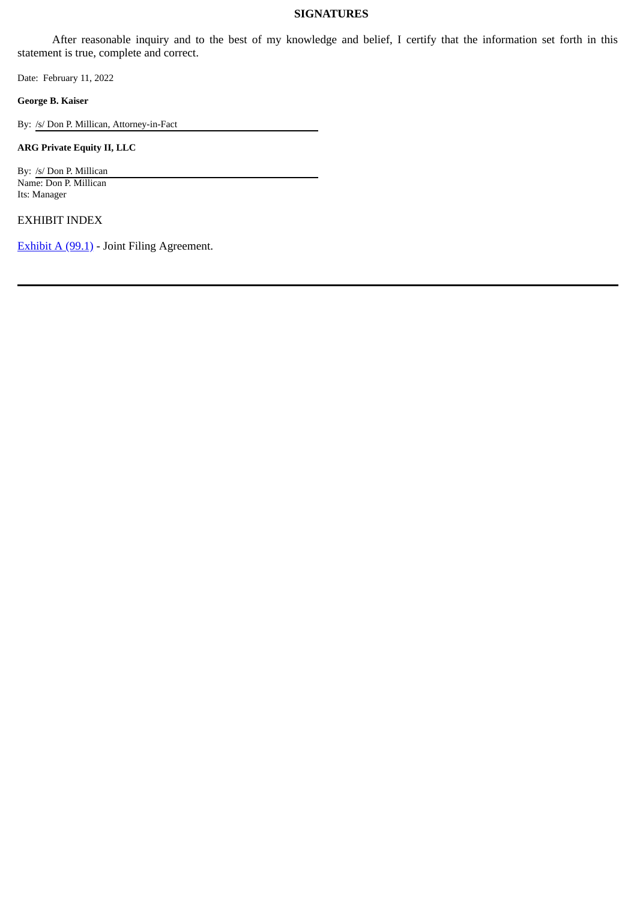### **SIGNATURES**

After reasonable inquiry and to the best of my knowledge and belief, I certify that the information set forth in this statement is true, complete and correct.

Date: February 11, 2022

**George B. Kaiser**

By: /s/ Don P. Millican, Attorney-in-Fact

**ARG Private Equity II, LLC**

By: /s/ Don P. Millican Name: Don P. Millican Its: Manager

EXHIBIT INDEX

[Exhibit A \(99.1\)](#page-7-0) - Joint Filing Agreement.